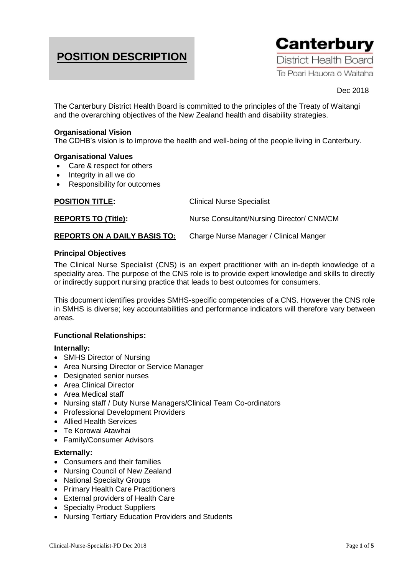# **POSITION DESCRIPTION**



## Dec 2018

The Canterbury District Health Board is committed to the principles of the Treaty of Waitangi and the overarching objectives of the New Zealand health and disability strategies.

#### **Organisational Vision**

The CDHB's vision is to improve the health and well-being of the people living in Canterbury.

#### **Organisational Values**

- Care & respect for others
- Integrity in all we do
- Responsibility for outcomes

| <b>POSITION TITLE:</b>              | <b>Clinical Nurse Specialist</b>          |
|-------------------------------------|-------------------------------------------|
| <b>REPORTS TO (Title):</b>          | Nurse Consultant/Nursing Director/ CNM/CM |
| <b>REPORTS ON A DAILY BASIS TO:</b> | Charge Nurse Manager / Clinical Manger    |

#### **Principal Objectives**

The Clinical Nurse Specialist (CNS) is an expert practitioner with an in-depth knowledge of a speciality area. The purpose of the CNS role is to provide expert knowledge and skills to directly or indirectly support nursing practice that leads to best outcomes for consumers.

This document identifies provides SMHS-specific competencies of a CNS. However the CNS role in SMHS is diverse; key accountabilities and performance indicators will therefore vary between areas.

## **Functional Relationships:**

## **Internally:**

- SMHS Director of Nursing
- Area Nursing Director or Service Manager
- Designated senior nurses
- Area Clinical Director
- Area Medical staff
- Nursing staff / Duty Nurse Managers/Clinical Team Co-ordinators
- Professional Development Providers
- Allied Health Services
- Te Korowai Atawhai
- Family/Consumer Advisors

## **Externally:**

- Consumers and their families
- Nursing Council of New Zealand
- National Specialty Groups
- Primary Health Care Practitioners
- External providers of Health Care
- Specialty Product Suppliers
- Nursing Tertiary Education Providers and Students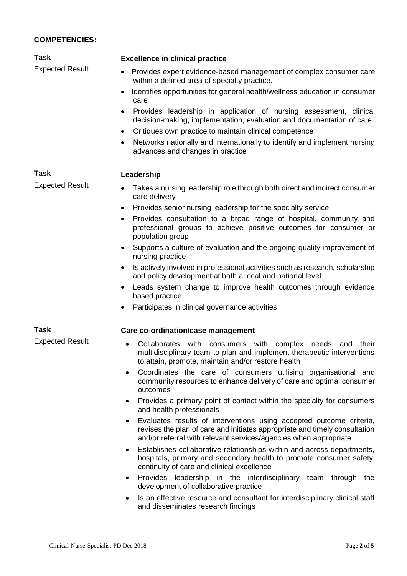## **COMPETENCIES:**

| Task                   | <b>Excellence in clinical practice</b>                                                                                                                                                               |
|------------------------|------------------------------------------------------------------------------------------------------------------------------------------------------------------------------------------------------|
| <b>Expected Result</b> | Provides expert evidence-based management of complex consumer care<br>$\bullet$<br>within a defined area of specialty practice.                                                                      |
|                        | Identifies opportunities for general health/wellness education in consumer<br>care                                                                                                                   |
|                        | Provides leadership in application of nursing assessment, clinical<br>$\bullet$<br>decision-making, implementation, evaluation and documentation of care.                                            |
|                        | Critiques own practice to maintain clinical competence<br>$\bullet$                                                                                                                                  |
|                        | Networks nationally and internationally to identify and implement nursing<br>٠<br>advances and changes in practice                                                                                   |
| Task                   | Leadership                                                                                                                                                                                           |
| <b>Expected Result</b> | Takes a nursing leadership role through both direct and indirect consumer<br>$\bullet$<br>care delivery                                                                                              |
|                        | Provides senior nursing leadership for the specialty service<br>٠                                                                                                                                    |
|                        | Provides consultation to a broad range of hospital, community and<br>$\bullet$<br>professional groups to achieve positive outcomes for consumer or<br>population group                               |
|                        | Supports a culture of evaluation and the ongoing quality improvement of<br>٠<br>nursing practice                                                                                                     |
|                        | Is actively involved in professional activities such as research, scholarship<br>$\bullet$<br>and policy development at both a local and national level                                              |
|                        | Leads system change to improve health outcomes through evidence<br>٠<br>based practice                                                                                                               |
|                        | Participates in clinical governance activities<br>$\bullet$                                                                                                                                          |
| <b>Task</b>            | Care co-ordination/case management                                                                                                                                                                   |
| <b>Expected Result</b> | Collaborates with<br>consumers with<br>complex<br>their<br>needs and<br>multidisciplinary team to plan and implement therapeutic interventions<br>to attain, promote, maintain and/or restore health |
|                        | Coordinates the care of consumers utilising organisational and<br>$\bullet$<br>community resources to enhance delivery of care and optimal consumer<br>outcomes                                      |
|                        | Provides a primary point of contact within the specialty for consumers<br>$\bullet$<br>and health professionals                                                                                      |

- Evaluates results of interventions using accepted outcome criteria, revises the plan of care and initiates appropriate and timely consultation and/or referral with relevant services/agencies when appropriate
- Establishes collaborative relationships within and across departments, hospitals, primary and secondary health to promote consumer safety, continuity of care and clinical excellence
- Provides leadership in the interdisciplinary team through the development of collaborative practice
- Is an effective resource and consultant for interdisciplinary clinical staff and disseminates research findings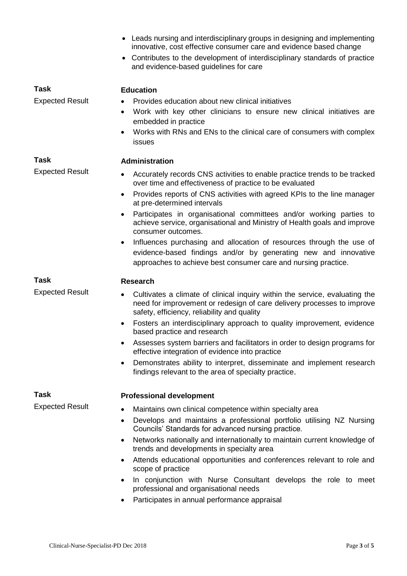|                        | • Leads nursing and interdisciplinary groups in designing and implementing<br>innovative, cost effective consumer care and evidence based change<br>Contributes to the development of interdisciplinary standards of practice<br>$\bullet$<br>and evidence-based guidelines for care |
|------------------------|--------------------------------------------------------------------------------------------------------------------------------------------------------------------------------------------------------------------------------------------------------------------------------------|
| <b>Task</b>            | <b>Education</b>                                                                                                                                                                                                                                                                     |
| <b>Expected Result</b> | Provides education about new clinical initiatives<br>$\bullet$<br>Work with key other clinicians to ensure new clinical initiatives are<br>embedded in practice<br>Works with RNs and ENs to the clinical care of consumers with complex<br>issues                                   |
| <b>Task</b>            | <b>Administration</b>                                                                                                                                                                                                                                                                |
| <b>Expected Result</b> | Accurately records CNS activities to enable practice trends to be tracked<br>$\bullet$<br>over time and effectiveness of practice to be evaluated                                                                                                                                    |
|                        | Provides reports of CNS activities with agreed KPIs to the line manager<br>٠<br>at pre-determined intervals                                                                                                                                                                          |
|                        | Participates in organisational committees and/or working parties to<br>achieve service, organisational and Ministry of Health goals and improve<br>consumer outcomes.                                                                                                                |
|                        | Influences purchasing and allocation of resources through the use of<br>٠<br>evidence-based findings and/or by generating new and innovative<br>approaches to achieve best consumer care and nursing practice.                                                                       |
| <b>Task</b>            | <b>Research</b>                                                                                                                                                                                                                                                                      |
| <b>Expected Result</b> | Cultivates a climate of clinical inquiry within the service, evaluating the<br>$\bullet$<br>need for improvement or redesign of care delivery processes to improve<br>safety, efficiency, reliability and quality                                                                    |
|                        | Fosters an interdisciplinary approach to quality improvement, evidence<br>٠<br>based practice and research                                                                                                                                                                           |
|                        | Assesses system barriers and facilitators in order to design programs for<br>effective integration of evidence into practice                                                                                                                                                         |
|                        | Demonstrates ability to interpret, disseminate and implement research<br>$\bullet$<br>findings relevant to the area of specialty practice.                                                                                                                                           |
| <b>Task</b>            | <b>Professional development</b>                                                                                                                                                                                                                                                      |
| <b>Expected Result</b> | Maintains own clinical competence within specialty area                                                                                                                                                                                                                              |
|                        | Develops and maintains a professional portfolio utilising NZ Nursing<br>$\bullet$<br>Councils' Standards for advanced nursing practice.                                                                                                                                              |
|                        | Networks nationally and internationally to maintain current knowledge of<br>٠<br>trends and developments in specialty area                                                                                                                                                           |
|                        | Attends educational opportunities and conferences relevant to role and<br>٠<br>scope of practice                                                                                                                                                                                     |
|                        | In conjunction with Nurse Consultant develops the role to meet<br>professional and organisational needs                                                                                                                                                                              |

• Participates in annual performance appraisal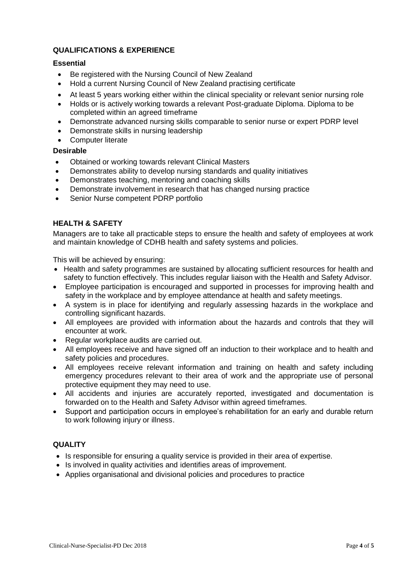# **QUALIFICATIONS & EXPERIENCE**

## **Essential**

- Be registered with the Nursing Council of New Zealand
- Hold a current Nursing Council of New Zealand practising certificate
- At least 5 years working either within the clinical speciality or relevant senior nursing role
- Holds or is actively working towards a relevant Post-graduate Diploma. Diploma to be completed within an agreed timeframe
- Demonstrate advanced nursing skills comparable to senior nurse or expert PDRP level
- Demonstrate skills in nursing leadership
- Computer literate

## **Desirable**

- Obtained or working towards relevant Clinical Masters
- Demonstrates ability to develop nursing standards and quality initiatives
- Demonstrates teaching, mentoring and coaching skills
- Demonstrate involvement in research that has changed nursing practice
- Senior Nurse competent PDRP portfolio

## **HEALTH & SAFETY**

Managers are to take all practicable steps to ensure the health and safety of employees at work and maintain knowledge of CDHB health and safety systems and policies.

This will be achieved by ensuring:

- Health and safety programmes are sustained by allocating sufficient resources for health and safety to function effectively. This includes regular liaison with the Health and Safety Advisor.
- Employee participation is encouraged and supported in processes for improving health and safety in the workplace and by employee attendance at health and safety meetings.
- A system is in place for identifying and regularly assessing hazards in the workplace and controlling significant hazards.
- All employees are provided with information about the hazards and controls that they will encounter at work.
- Regular workplace audits are carried out.
- All employees receive and have signed off an induction to their workplace and to health and safety policies and procedures.
- All employees receive relevant information and training on health and safety including emergency procedures relevant to their area of work and the appropriate use of personal protective equipment they may need to use.
- All accidents and injuries are accurately reported, investigated and documentation is forwarded on to the Health and Safety Advisor within agreed timeframes.
- Support and participation occurs in employee's rehabilitation for an early and durable return to work following injury or illness.

# **QUALITY**

- Is responsible for ensuring a quality service is provided in their area of expertise.
- Is involved in quality activities and identifies areas of improvement.
- Applies organisational and divisional policies and procedures to practice